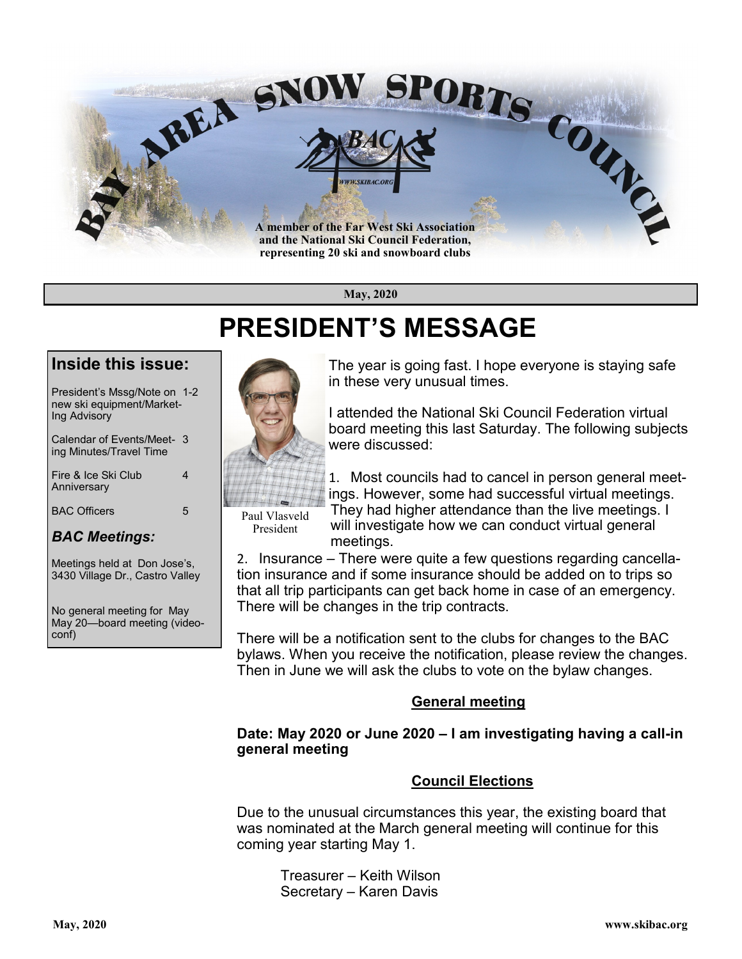

**May, 2020**

## **PRESIDENT'S MESSAGE**

### **Inside this issue:**

President's Mssg/Note on 1-2 new ski equipment/Market-Ing Advisory

Calendar of Events/Meet- 3 ing Minutes/Travel Time

Fire & Ice Ski Club 4 **Anniversary** 

BAC Officers 5

### *BAC Meetings:*

Meetings held at Don Jose's, 3430 Village Dr., Castro Valley

No general meeting for May May 20—board meeting (videoconf)



The year is going fast. I hope everyone is staying safe in these very unusual times.

I attended the National Ski Council Federation virtual board meeting this last Saturday. The following subjects were discussed:

1. Most councils had to cancel in person general meetings. However, some had successful virtual meetings.

Paul Vlasveld President

They had higher attendance than the live meetings. I will investigate how we can conduct virtual general meetings.

2. Insurance – There were quite a few questions regarding cancellation insurance and if some insurance should be added on to trips so that all trip participants can get back home in case of an emergency. There will be changes in the trip contracts.

There will be a notification sent to the clubs for changes to the BAC bylaws. When you receive the notification, please review the changes. Then in June we will ask the clubs to vote on the bylaw changes.

### **General meeting**

#### **Date: May 2020 or June 2020 – I am investigating having a call-in general meeting**

### **Council Elections**

Due to the unusual circumstances this year, the existing board that was nominated at the March general meeting will continue for this coming year starting May 1.

Treasurer – Keith Wilson Secretary – Karen Davis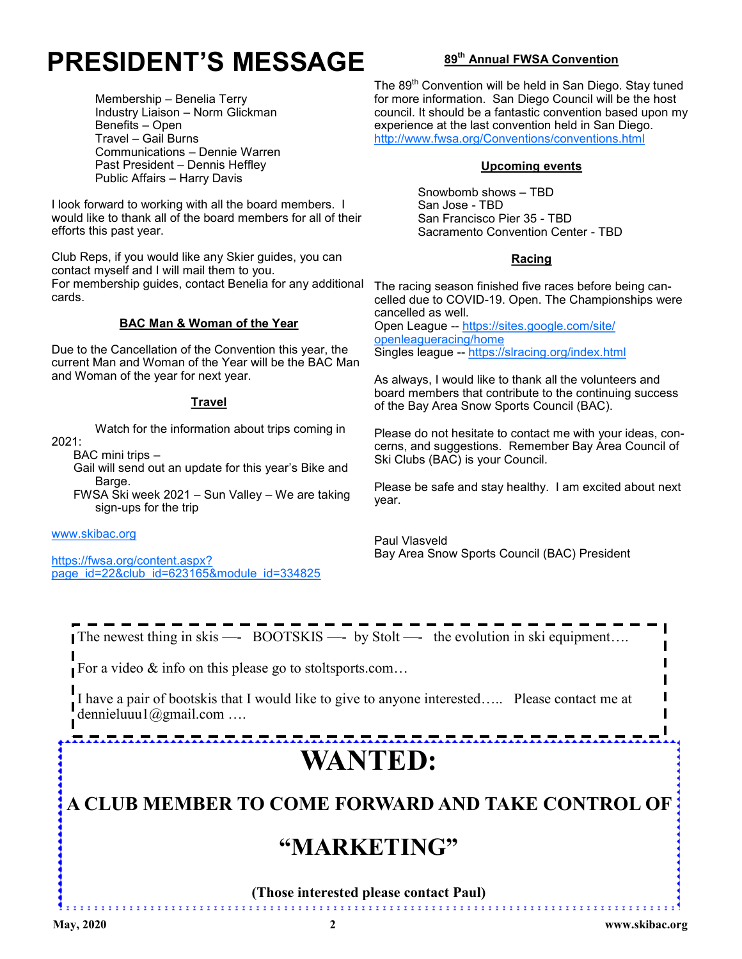# **PRESIDENT'S MESSAGE**

Membership – Benelia Terry Industry Liaison – Norm Glickman Benefits – Open Travel – Gail Burns Communications – Dennie Warren Past President – Dennis Heffley Public Affairs – Harry Davis

I look forward to working with all the board members. I would like to thank all of the board members for all of their efforts this past year.

Club Reps, if you would like any Skier guides, you can contact myself and I will mail them to you. For membership guides, contact Benelia for any additional cards.

#### **BAC Man & Woman of the Year**

Due to the Cancellation of the Convention this year, the current Man and Woman of the Year will be the BAC Man and Woman of the year for next year.

#### **Travel**

Watch for the information about trips coming in

BAC mini trips –

Gail will send out an update for this year's Bike and Barge.

FWSA Ski week 2021 – Sun Valley – We are taking sign-ups for the trip

[www.skibac.org](http://www.skibac.org)

2021:

[https://fwsa.org/content.aspx?](https://fwsa.org/content.aspx?page_id=22&club_id=623165&module_id=334825) [page\\_id=22&club\\_id=623165&module\\_id=334825](https://fwsa.org/content.aspx?page_id=22&club_id=623165&module_id=334825)

#### **89th Annual FWSA Convention**

The 89<sup>th</sup> Convention will be held in San Diego. Stay tuned for more information. San Diego Council will be the host council. It should be a fantastic convention based upon my experience at the last convention held in San Diego. <http://www.fwsa.org/Conventions/conventions.html>

#### **Upcoming events**

Snowbomb shows – TBD San Jose - TBD San Francisco Pier 35 - TBD Sacramento Convention Center - TBD

#### **Racing**

The racing season finished five races before being cancelled due to COVID-19. Open. The Championships were cancelled as well.

Open League -- [https://sites.google.com/site/](https://sites.google.com/site/openleagueracing/home) [openleagueracing/home](https://sites.google.com/site/openleagueracing/home) Singles league -- <https://slracing.org/index.html>

As always, I would like to thank all the volunteers and board members that contribute to the continuing success of the Bay Area Snow Sports Council (BAC).

Please do not hesitate to contact me with your ideas, concerns, and suggestions. Remember Bay Area Council of Ski Clubs (BAC) is your Council.

Please be safe and stay healthy. I am excited about next year.

Paul Vlasveld Bay Area Snow Sports Council (BAC) President

The newest thing in skis —- BOOTSKIS —- by Stolt —- the evolution in ski equipment....

For a video  $\&$  info on this please go to stoltsports.com...

I have a pair of bootskis that I would like to give to anyone interested….. Please contact me at dennieluuu1@gmail.com ….

nonoonoonoonoonoonoonoonoonoonoonoo **WANTED:**

**A CLUB MEMBER TO COME FORWARD AND TAKE CONTROL OF**

### **"MARKETING"**

**(Those interested please contact Paul)**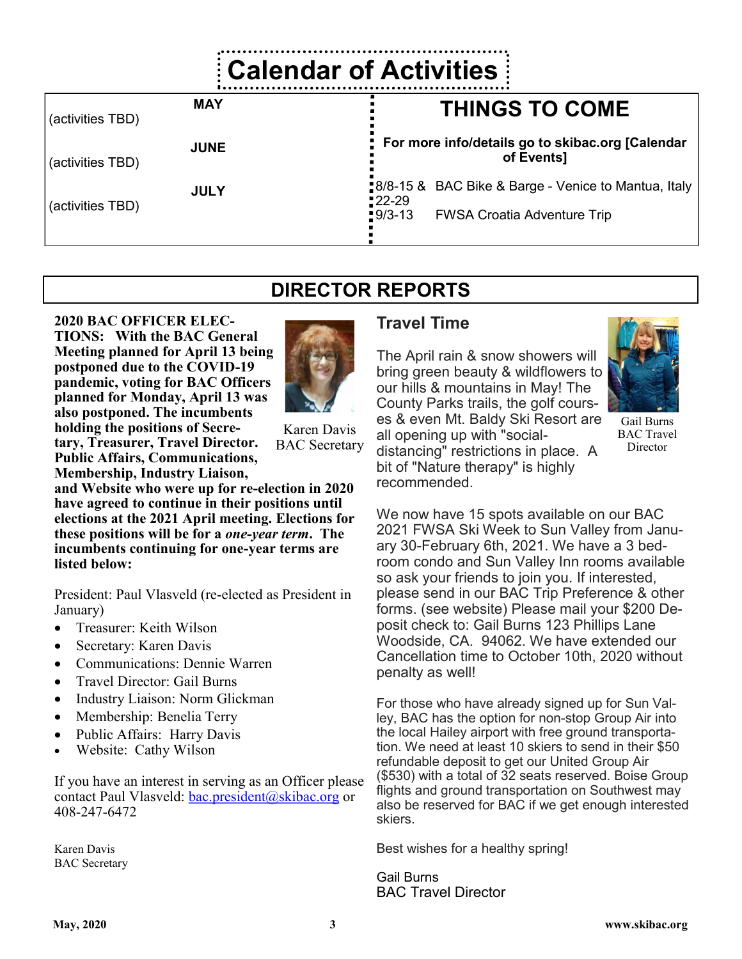# **Calendar of Activities**

| (activities TBD) | <b>MAY</b>  | <b>THINGS TO COME</b>                                                         |
|------------------|-------------|-------------------------------------------------------------------------------|
| (activities TBD) | <b>JUNE</b> | For more info/details go to skibac.org [Calendar<br>of Events]                |
| (activities TBD) | <b>JULY</b> | <b>8/8-15 &amp; BAC Bike &amp; Barge - Venice to Mantua, Italy</b><br>$22-29$ |
|                  |             | $-9/3-13$<br><b>FWSA Croatia Adventure Trip</b>                               |

**DIRECTOR REPORTS**

#### **2020 BAC OFFICER ELEC-TIONS: With the BAC General Meeting planned for April 13 being postponed due to the COVID-19 pandemic, voting for BAC Officers planned for Monday, April 13 was also postponed. The incumbents holding the positions of Secretary, Treasurer, Travel Director. Public Affairs, Communications, Membership, Industry Liaison,**



Karen Davis BAC Secretary

**and Website who were up for re-election in 2020 have agreed to continue in their positions until elections at the 2021 April meeting. Elections for these positions will be for a** *one-year term***. The incumbents continuing for one-year terms are listed below:**

President: Paul Vlasveld (re-elected as President in January)

- Treasurer: Keith Wilson
- Secretary: Karen Davis
- Communications: Dennie Warren
- Travel Director: Gail Burns
- Industry Liaison: Norm Glickman
- Membership: Benelia Terry
- Public Affairs: Harry Davis
- Website: Cathy Wilson

If you have an interest in serving as an Officer please contact Paul Vlasveld: [bac.president@skibac.org](mailto:bac.president@skibac.org) or 408-247-6472

Karen Davis BAC Secretary

### **Travel Time**

The April rain & snow showers will bring green beauty & wildflowers to our hills & mountains in May! The County Parks trails, the golf courses & even Mt. Baldy Ski Resort are all opening up with "socialdistancing" restrictions in place. A bit of "Nature therapy" is highly recommended.



Gail Burns BAC Travel **Director** 

We now have 15 spots available on our BAC 2021 FWSA Ski Week to Sun Valley from January 30-February 6th, 2021. We have a 3 bedroom condo and Sun Valley Inn rooms available so ask your friends to join you. If interested, please send in our BAC Trip Preference & other forms. (see website) Please mail your \$200 Deposit check to: Gail Burns 123 Phillips Lane Woodside, CA. 94062. We have extended our Cancellation time to October 10th, 2020 without penalty as well!

For those who have already signed up for Sun Valley, BAC has the option for non-stop Group Air into the local Hailey airport with free ground transportation. We need at least 10 skiers to send in their \$50 refundable deposit to get our United Group Air (\$530) with a total of 32 seats reserved. Boise Group flights and ground transportation on Southwest may also be reserved for BAC if we get enough interested skiers.

Best wishes for a healthy spring!

Gail Burns BAC Travel Director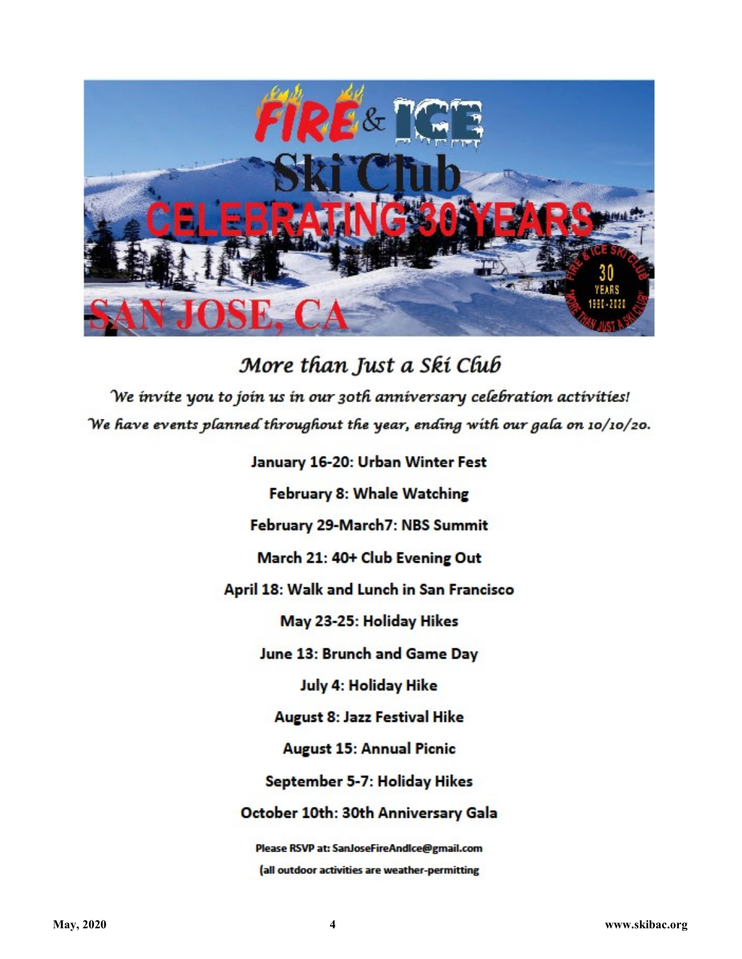

More than Just a Ski Club We invite you to join us in our 30th anniversary celebration activities! We have events planned throughout the year, ending with our gala on 10/10/20.

> January 16-20: Urban Winter Fest February 8: Whale Watching February 29-March7: NBS Summit March 21: 40+ Club Evening Out April 18: Walk and Lunch in San Francisco May 23-25: Holiday Hikes June 13: Brunch and Game Day July 4: Holiday Hike **August 8: Jazz Festival Hike August 15: Annual Picnic** September 5-7: Holiday Hikes October 10th: 30th Anniversary Gala Please RSVP at: SanJoseFireAndIce@gmail.com

> > (all outdoor activities are weather-permitting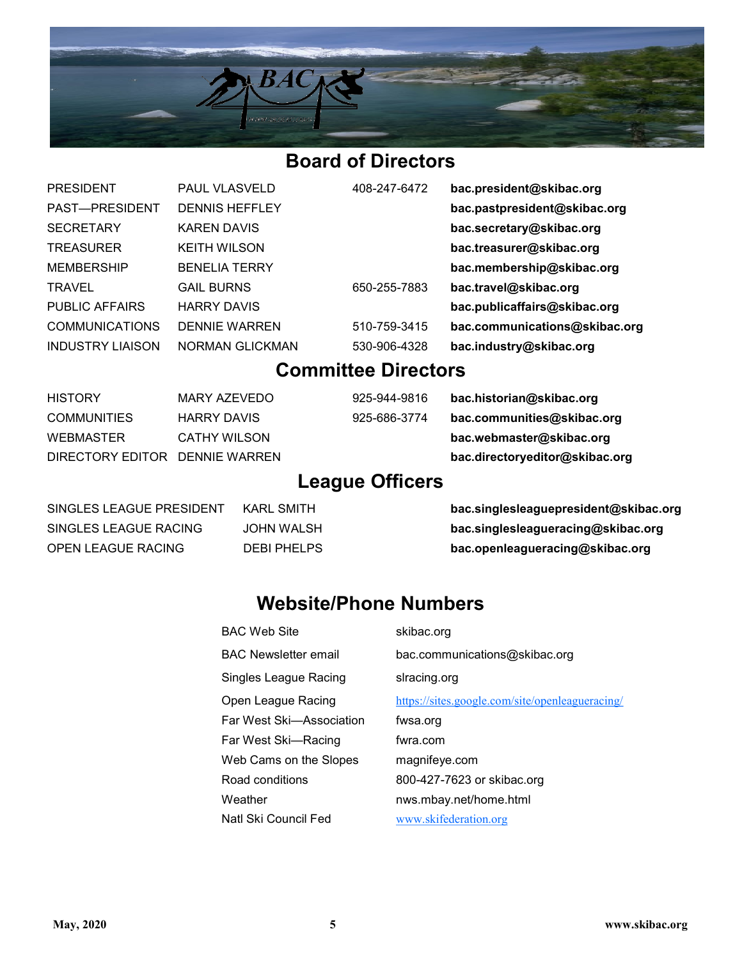

### **Board of Directors**

| <b>PRESIDENT</b>        | <b>PAUL VLASVE</b> |
|-------------------------|--------------------|
| PAST-PRESIDENT          | <b>DENNIS HEFF</b> |
| <b>SECRETARY</b>        | <b>KAREN DAVIS</b> |
| <b>TREASURER</b>        | <b>KEITH WILSO</b> |
| <b>MEMBERSHIP</b>       | <b>BENELIA TER</b> |
| <b>TRAVEL</b>           | <b>GAIL BURNS</b>  |
| <b>PUBLIC AFFAIRS</b>   | <b>HARRY DAVIS</b> |
| <b>COMMUNICATIONS</b>   | <b>DENNIE WAR</b>  |
| <b>INDUSTRY LIAISON</b> | NORMAN GLI         |
|                         |                    |

ELD 408-247-6472 **bac.president@skibac.org** PAST—PRESIDENT DENNIS HEFFLEY **bac.pastpresident@skibac.org** SECRETARY KAREN DAVIS **bac.secretary@skibac.org** TREASURER KEITH WILSON **bac.treasurer@skibac.org** REY **bac.membership@skibac.org** TRAVEL GAIL BURNS 650-255-7883 **bac.travel@skibac.org Public Affairs Harry Dac.publicaffairs@skibac.org** REN 510-759-3415 **bac.communications@skibac.org** CKMAN 530-906-4328 **bac.industry@skibac.org** 

### **Committee Directors**

HISTORY MARY AZEVEDO 925-944-9816 **bac.historian@skibac.org** COMMUNITIES HARRY DAVIS 925-686-3774 **bac.communities@skibac.org** WEBMASTER CATHY WILSON **bac.webmaster@skibac.org** DIRECTORY EDITOR DENNIE WARREN **bac.directoryeditor@skibac.org**

### **League Officers**

SINGLES LEAGUE PRESIDENT KARL SMITH **bac.singlesleaguepresident@skibac.org** SINGLES LEAGUE RACING JOHN WALSH **bac.singlesleagueracing@skibac.org** OPEN LEAGUE RACING DEBI PHELPS **bac.openleagueracing@skibac.org**

### **Website/Phone Numbers**

| <b>BAC Web Site</b>      | skibac.org                                      |
|--------------------------|-------------------------------------------------|
| BAC Newsletter email     | bac.communications@skibac.org                   |
| Singles League Racing    | slracing.org                                    |
| Open League Racing       | https://sites.google.com/site/openleagueracing/ |
| Far West Ski—Association | fwsa.org                                        |
| Far West Ski—Racing      | fwra.com                                        |
| Web Cams on the Slopes   | magnifeye.com                                   |
| Road conditions          | 800-427-7623 or skibac.org                      |
| Weather                  | nws.mbay.net/home.html                          |
| Natl Ski Council Fed     | www.skifederation.org                           |
|                          |                                                 |